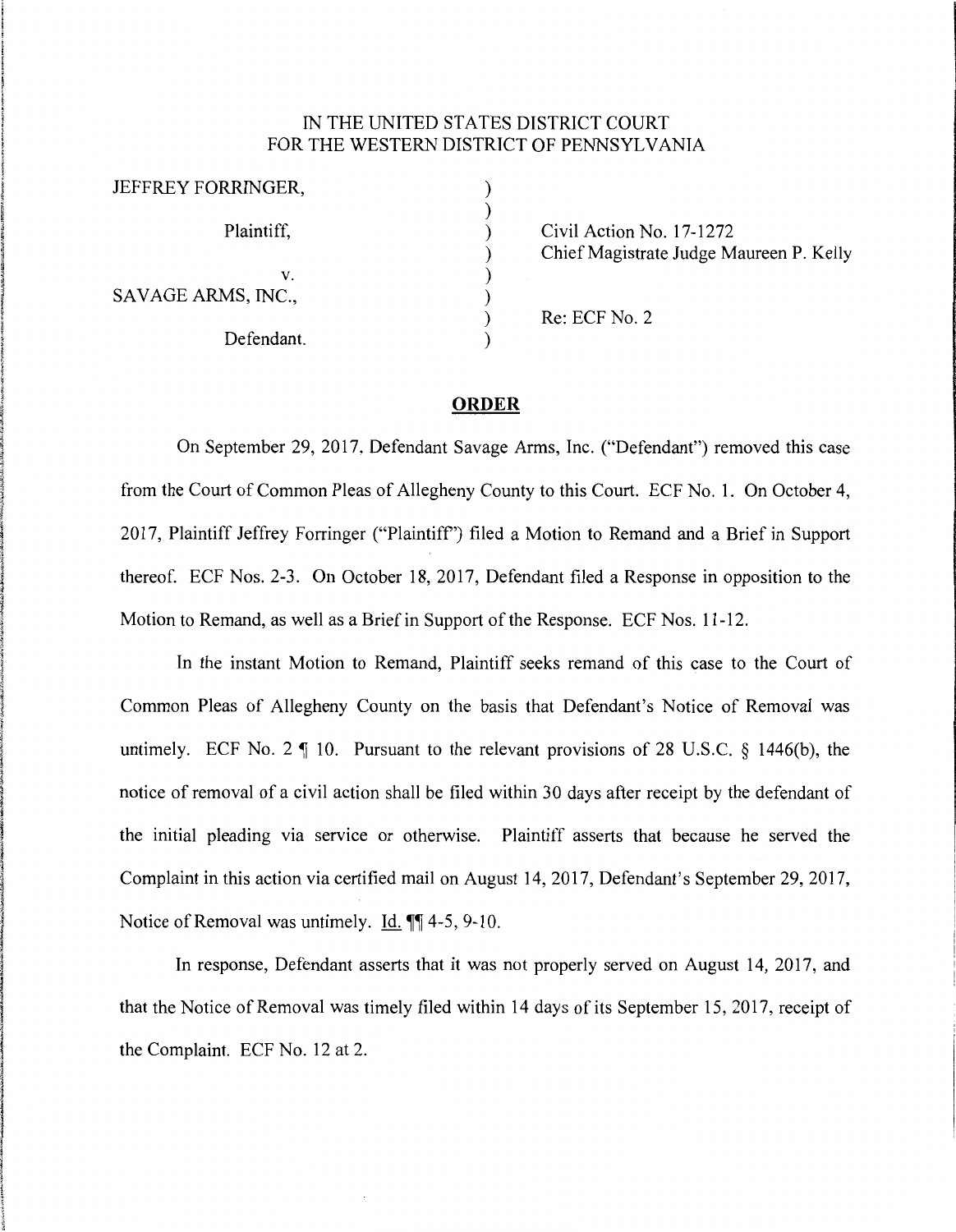## IN THE UNITED STATES DISTRICT COURT FOR THE WESTERN DISTRICT OF PENNSYLVANIA

| JEFFREY FORRINGER, |                                         |
|--------------------|-----------------------------------------|
| Plaintiff,         | Civil Action No. 17-1272                |
|                    | Chief Magistrate Judge Maureen P. Kelly |
| v.                 |                                         |
| SAVAGE ARMS, INC., |                                         |
|                    | Re: ECF No. 2                           |
| Defendant.         |                                         |

## **ORDER**

On September 29, 2017, Defendant Savage Arms, Inc. ("Defendant") removed this case from the Court of Common Pleas of Allegheny County to this Court. ECF No. 1. On October 4, 2017, Plaintiff Jeffrey Forringer ("Plaintiff') filed a Motion to Remand and a Brief in Support thereof. ECF Nos. 2-3. On October 18, 2017, Defendant filed a Response in opposition to the Motion to Remand, as well as a Brief in Support of the Response. ECF Nos. 11-12.

In the instant Motion to Remand, Plaintiff seeks remand of this case to the Court of Common Pleas of Allegheny County on the basis that Defendant's Notice of Removal was untimely. ECF No. 2  $\parallel$  10. Pursuant to the relevant provisions of 28 U.S.C. § 1446(b), the notice of removal of a civil action shall be filed within 30 days after receipt by the defendant of the initial pleading via service or otherwise. Plaintiff asserts that because he served the Complaint in this action via certified mail on August 14, 2017, Defendant's September 29, 2017, Notice of Removal was untimely. Id.  $\P$  $[4-5, 9-10.$ 

In response, Defendant asserts that it was not properly served on August 14, 2017, and that the Notice of Removal was timely filed within 14 days of its September 15, 2017, receipt of the Complaint. ECF No. 12 at 2.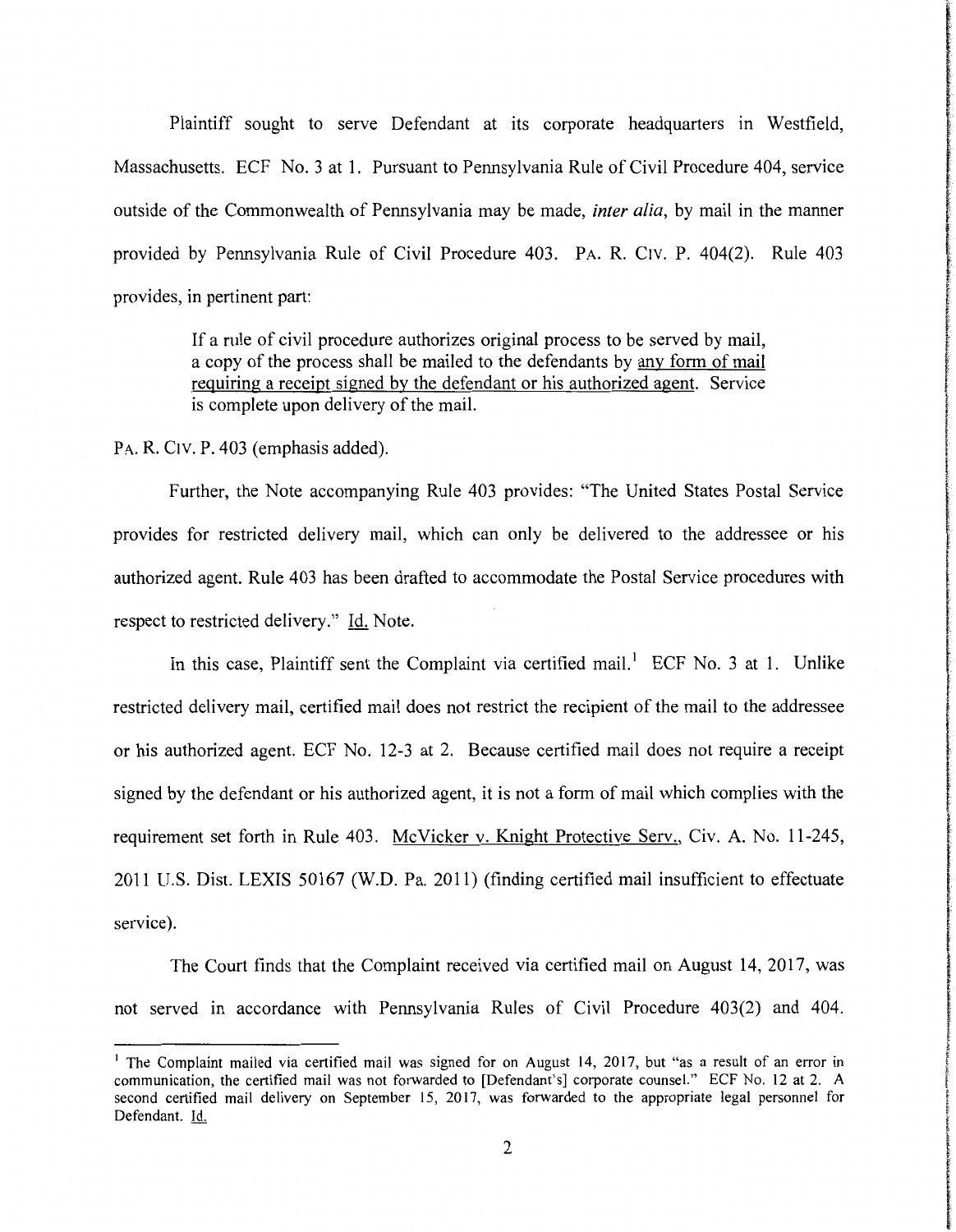Plaintiff sought to serve Defendant at its corporate headquarters in Westfield, Massachusetts. ECF No. 3 at 1. Pursuant to Pennsylvania Rule of Civil Procedure 404, service outside of the Commonwealth of Pennsylvania may be made, *inter alia,* by mail in the manner provided by Pennsylvania Rule of Civil Procedure 403. PA. R. Crv. P. 404(2). Rule 403 provides, in pertinent part:

> If a rule of civil procedure authorizes original process to be served by mail, a copy of the process shall be mailed to the defendants by any form of mail requiring a receipt signed by the defendant or his authorized agent. Service is complete upon delivery of the mail.

P<sub>A</sub>. R. C<sub>l</sub>v. P. 403 (emphasis added).

Further, the Note accompanying Rule 403 provides: "The United States Postal Service provides for restricted delivery mail, which can only be delivered to the addressee or his authorized agent. Rule 403 has been drafted to accommodate the Postal Service procedures with respect to restricted delivery." Id. Note.

In this case, Plaintiff sent the Complaint via certified mail.<sup>1</sup> ECF No. 3 at 1. Unlike restricted delivery mail, certified mail does not restrict the recipient of the mail to the addressee or his authorized agent. ECF No. 12-3 at 2. Because certified mail does not require a receipt signed by the defendant or his authorized agent, it is not a form of mail which complies with the requirement set forth in Rule 403. McVicker v. Knight Protective Serv., Civ. A. No. 11-245, 2011 U.S. Dist. LEXIS 50167 (W.D. Pa. 2011) (finding certified mail insufficient to effectuate service).

t realistic i<br>international<br>international

**International Profession Construction and Construction** 

**cities del controls** 

The Court finds that the Complaint received via certified mail on August 14, 2017, was not served in accordance with Pennsylvania Rules of Civil Procedure 403(2) and 404.

<sup>&</sup>lt;sup>1</sup> The Complaint mailed via certified mail was signed for on August 14, 2017, but "as a result of an error in communication, the certified mail was not forwarded to [Defendant's] corporate counsel." ECF No. 12 at 2. A second certified mail delivery on September 15, 2017, was forwarded to the appropriate legal personnel for Defendant. Id.